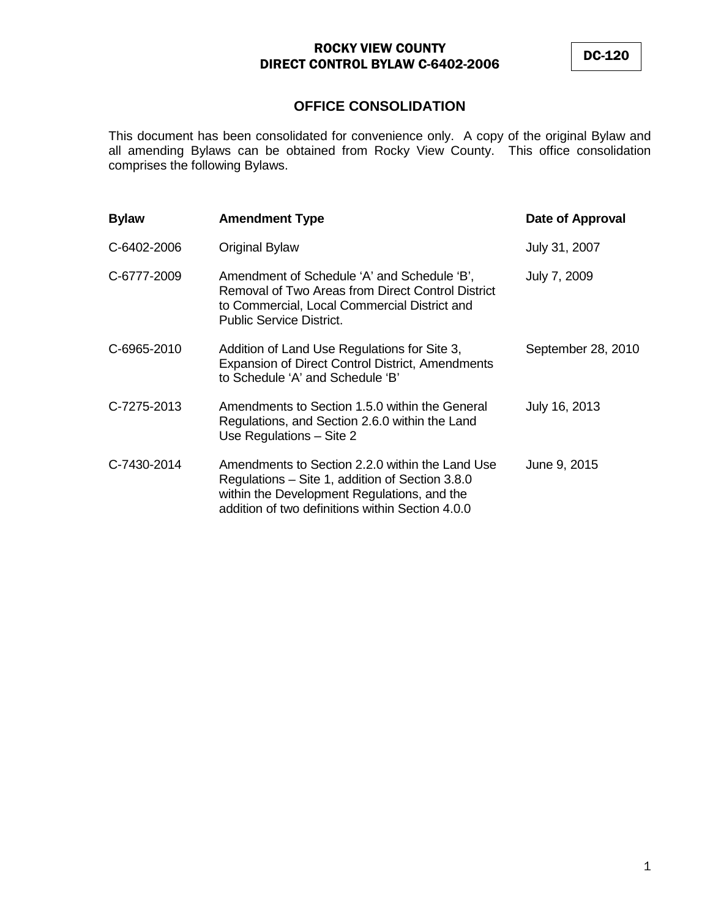DC-120

# **OFFICE CONSOLIDATION**

This document has been consolidated for convenience only. A copy of the original Bylaw and all amending Bylaws can be obtained from Rocky View County. This office consolidation comprises the following Bylaws.

| <b>Bylaw</b> | <b>Amendment Type</b>                                                                                                                                                                                 | Date of Approval   |
|--------------|-------------------------------------------------------------------------------------------------------------------------------------------------------------------------------------------------------|--------------------|
| C-6402-2006  | <b>Original Bylaw</b>                                                                                                                                                                                 | July 31, 2007      |
| C-6777-2009  | Amendment of Schedule 'A' and Schedule 'B',<br>Removal of Two Areas from Direct Control District<br>to Commercial, Local Commercial District and<br><b>Public Service District.</b>                   | July 7, 2009       |
| C-6965-2010  | Addition of Land Use Regulations for Site 3,<br><b>Expansion of Direct Control District, Amendments</b><br>to Schedule 'A' and Schedule 'B'                                                           | September 28, 2010 |
| C-7275-2013  | Amendments to Section 1.5.0 within the General<br>Regulations, and Section 2.6.0 within the Land<br>Use Regulations - Site 2                                                                          | July 16, 2013      |
| C-7430-2014  | Amendments to Section 2.2.0 within the Land Use<br>Regulations – Site 1, addition of Section 3.8.0<br>within the Development Regulations, and the<br>addition of two definitions within Section 4.0.0 | June 9, 2015       |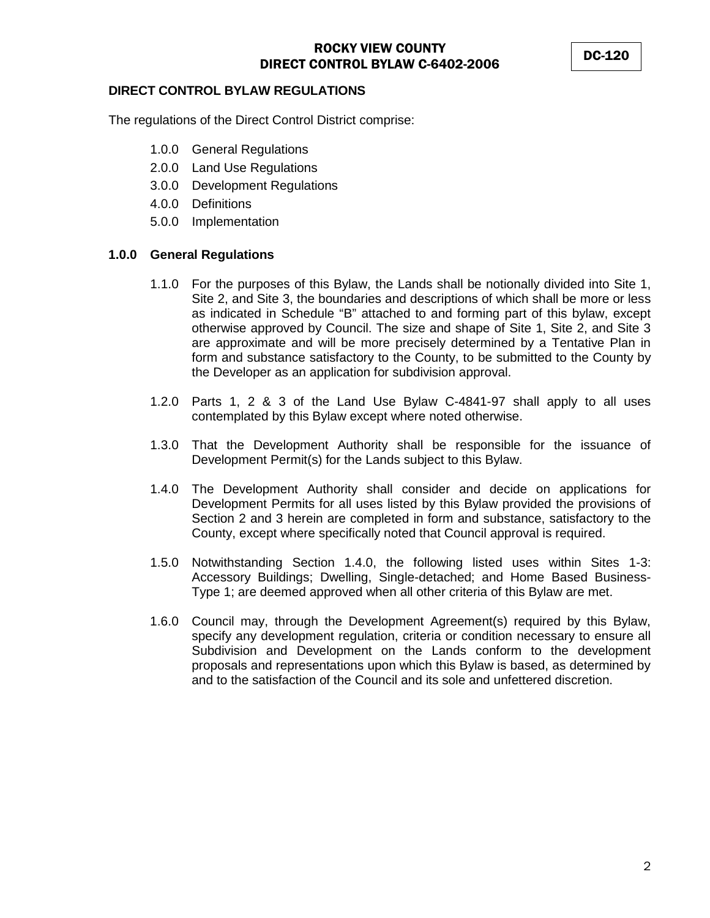DC-120

#### **DIRECT CONTROL BYLAW REGULATIONS**

The regulations of the Direct Control District comprise:

- 1.0.0 General Regulations
- 2.0.0 Land Use Regulations
- 3.0.0 Development Regulations
- 4.0.0 Definitions
- 5.0.0 Implementation

#### **1.0.0 General Regulations**

- 1.1.0 For the purposes of this Bylaw, the Lands shall be notionally divided into Site 1, Site 2, and Site 3, the boundaries and descriptions of which shall be more or less as indicated in Schedule "B" attached to and forming part of this bylaw, except otherwise approved by Council. The size and shape of Site 1, Site 2, and Site 3 are approximate and will be more precisely determined by a Tentative Plan in form and substance satisfactory to the County, to be submitted to the County by the Developer as an application for subdivision approval.
- 1.2.0 Parts 1, 2 & 3 of the Land Use Bylaw C-4841-97 shall apply to all uses contemplated by this Bylaw except where noted otherwise.
- 1.3.0 That the Development Authority shall be responsible for the issuance of Development Permit(s) for the Lands subject to this Bylaw.
- 1.4.0 The Development Authority shall consider and decide on applications for Development Permits for all uses listed by this Bylaw provided the provisions of Section 2 and 3 herein are completed in form and substance, satisfactory to the County, except where specifically noted that Council approval is required.
- 1.5.0 Notwithstanding Section 1.4.0, the following listed uses within Sites 1-3: Accessory Buildings; Dwelling, Single-detached; and Home Based Business-Type 1; are deemed approved when all other criteria of this Bylaw are met.
- 1.6.0 Council may, through the Development Agreement(s) required by this Bylaw, specify any development regulation, criteria or condition necessary to ensure all Subdivision and Development on the Lands conform to the development proposals and representations upon which this Bylaw is based, as determined by and to the satisfaction of the Council and its sole and unfettered discretion.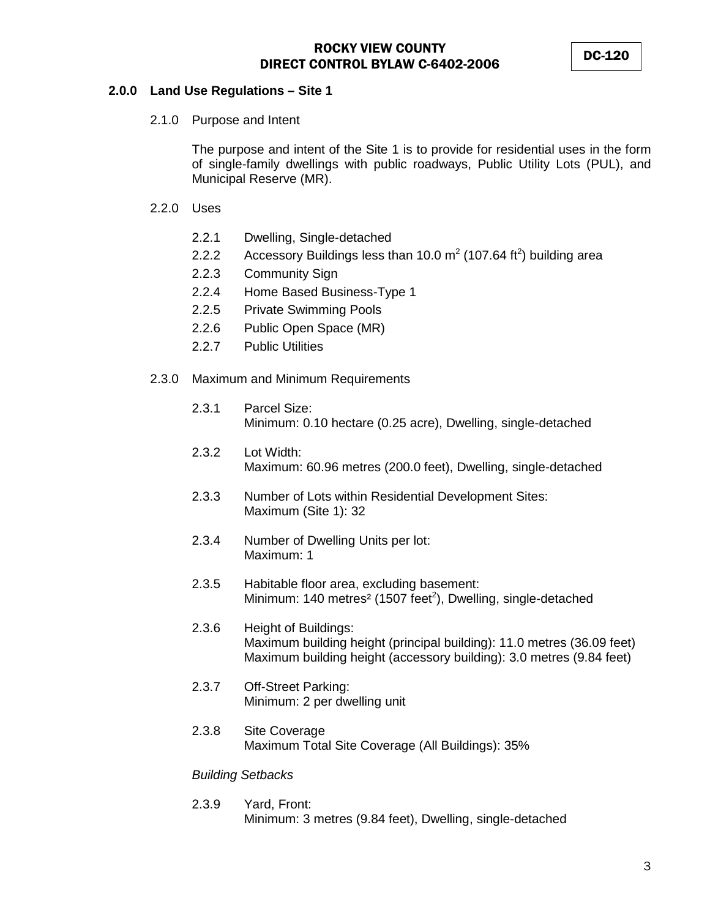#### **2.0.0 Land Use Regulations – Site 1**

2.1.0 Purpose and Intent

The purpose and intent of the Site 1 is to provide for residential uses in the form of single-family dwellings with public roadways, Public Utility Lots (PUL), and Municipal Reserve (MR).

- 2.2.0 Uses
	- 2.2.1 Dwelling, Single-detached
	- 2.2.2 Accessory Buildings less than 10.0  $m^2$  (107.64 ft<sup>2</sup>) building area
	- 2.2.3 Community Sign
	- 2.2.4 Home Based Business-Type 1
	- 2.2.5 Private Swimming Pools
	- 2.2.6 Public Open Space (MR)
	- 2.2.7 Public Utilities
- 2.3.0 Maximum and Minimum Requirements
	- 2.3.1 Parcel Size: Minimum: 0.10 hectare (0.25 acre), Dwelling, single-detached
	- 2.3.2 Lot Width: Maximum: 60.96 metres (200.0 feet), Dwelling, single-detached
	- 2.3.3 Number of Lots within Residential Development Sites: Maximum (Site 1): 32
	- 2.3.4 Number of Dwelling Units per lot: Maximum: 1
	- 2.3.5 Habitable floor area, excluding basement: Minimum: 140 metres<sup>2</sup> (1507 feet<sup>2</sup>), Dwelling, single-detached
	- 2.3.6 Height of Buildings: Maximum building height (principal building): 11.0 metres (36.09 feet) Maximum building height (accessory building): 3.0 metres (9.84 feet)
	- 2.3.7 Off-Street Parking: Minimum: 2 per dwelling unit
	- 2.3.8 Site Coverage Maximum Total Site Coverage (All Buildings): 35%

#### *Building Setbacks*

2.3.9 Yard, Front: Minimum: 3 metres (9.84 feet), Dwelling, single-detached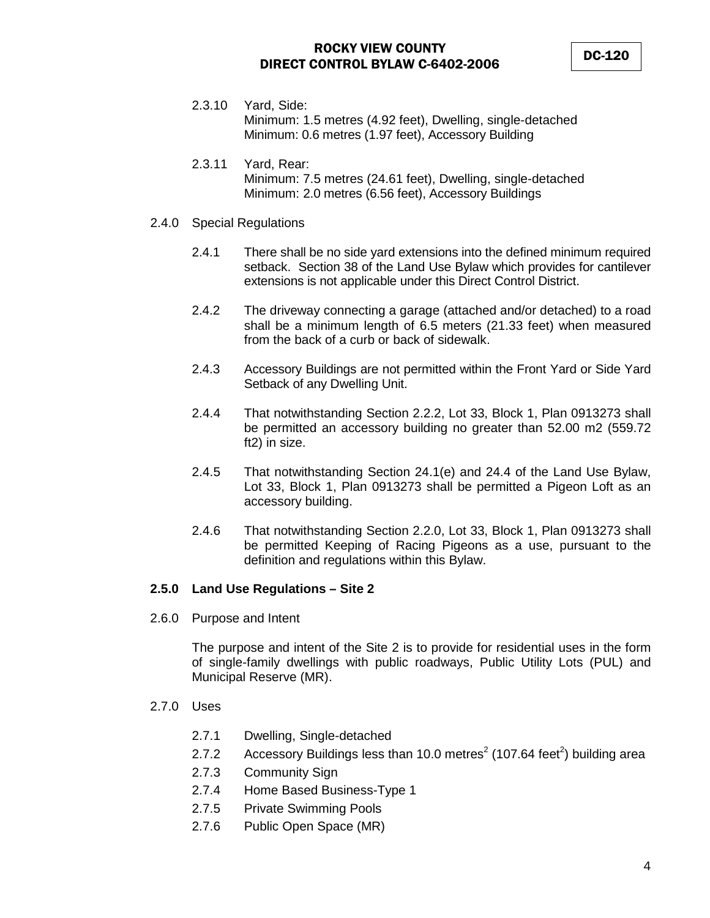- 2.3.10 Yard, Side: Minimum: 1.5 metres (4.92 feet), Dwelling, single-detached Minimum: 0.6 metres (1.97 feet), Accessory Building
- 2.3.11 Yard, Rear: Minimum: 7.5 metres (24.61 feet), Dwelling, single-detached Minimum: 2.0 metres (6.56 feet), Accessory Buildings
- 2.4.0 Special Regulations
	- 2.4.1 There shall be no side yard extensions into the defined minimum required setback. Section 38 of the Land Use Bylaw which provides for cantilever extensions is not applicable under this Direct Control District.
	- 2.4.2 The driveway connecting a garage (attached and/or detached) to a road shall be a minimum length of 6.5 meters (21.33 feet) when measured from the back of a curb or back of sidewalk.
	- 2.4.3 Accessory Buildings are not permitted within the Front Yard or Side Yard Setback of any Dwelling Unit.
	- 2.4.4 That notwithstanding Section 2.2.2, Lot 33, Block 1, Plan 0913273 shall be permitted an accessory building no greater than 52.00 m2 (559.72 ft2) in size.
	- 2.4.5 That notwithstanding Section 24.1(e) and 24.4 of the Land Use Bylaw, Lot 33, Block 1, Plan 0913273 shall be permitted a Pigeon Loft as an accessory building.
	- 2.4.6 That notwithstanding Section 2.2.0, Lot 33, Block 1, Plan 0913273 shall be permitted Keeping of Racing Pigeons as a use, pursuant to the definition and regulations within this Bylaw.

## **2.5.0 Land Use Regulations – Site 2**

2.6.0 Purpose and Intent

The purpose and intent of the Site 2 is to provide for residential uses in the form of single-family dwellings with public roadways, Public Utility Lots (PUL) and Municipal Reserve (MR).

- 2.7.0 Uses
	- 2.7.1 Dwelling, Single-detached
	- 2.7.2 Accessory Buildings less than 10.0 metres<sup>2</sup> (107.64 feet<sup>2</sup>) building area
	- 2.7.3 Community Sign
	- 2.7.4 Home Based Business-Type 1
	- 2.7.5 Private Swimming Pools
	- 2.7.6 Public Open Space (MR)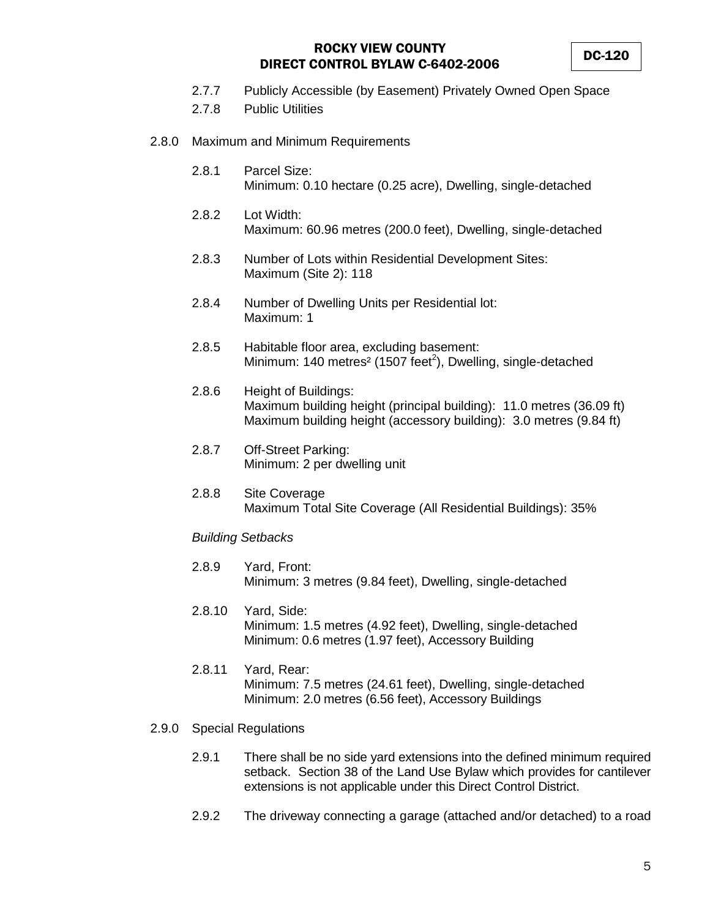- 2.7.7 Publicly Accessible (by Easement) Privately Owned Open Space
- 2.7.8 Public Utilities
- 2.8.0 Maximum and Minimum Requirements
	- 2.8.1 Parcel Size: Minimum: 0.10 hectare (0.25 acre), Dwelling, single-detached
	- 2.8.2 Lot Width: Maximum: 60.96 metres (200.0 feet), Dwelling, single-detached
	- 2.8.3 Number of Lots within Residential Development Sites: Maximum (Site 2): 118
	- 2.8.4 Number of Dwelling Units per Residential lot: Maximum: 1
	- 2.8.5 Habitable floor area, excluding basement: Minimum: 140 metres<sup>2</sup> (1507 feet<sup>2</sup>), Dwelling, single-detached
	- 2.8.6 Height of Buildings: Maximum building height (principal building): 11.0 metres (36.09 ft) Maximum building height (accessory building): 3.0 metres (9.84 ft)
	- 2.8.7 Off-Street Parking: Minimum: 2 per dwelling unit
	- 2.8.8 Site Coverage Maximum Total Site Coverage (All Residential Buildings): 35%

#### *Building Setbacks*

- 2.8.9 Yard, Front: Minimum: 3 metres (9.84 feet), Dwelling, single-detached
- 2.8.10 Yard, Side: Minimum: 1.5 metres (4.92 feet), Dwelling, single-detached Minimum: 0.6 metres (1.97 feet), Accessory Building
- 2.8.11 Yard, Rear: Minimum: 7.5 metres (24.61 feet), Dwelling, single-detached Minimum: 2.0 metres (6.56 feet), Accessory Buildings
- 2.9.0 Special Regulations
	- 2.9.1 There shall be no side yard extensions into the defined minimum required setback. Section 38 of the Land Use Bylaw which provides for cantilever extensions is not applicable under this Direct Control District.
	- 2.9.2 The driveway connecting a garage (attached and/or detached) to a road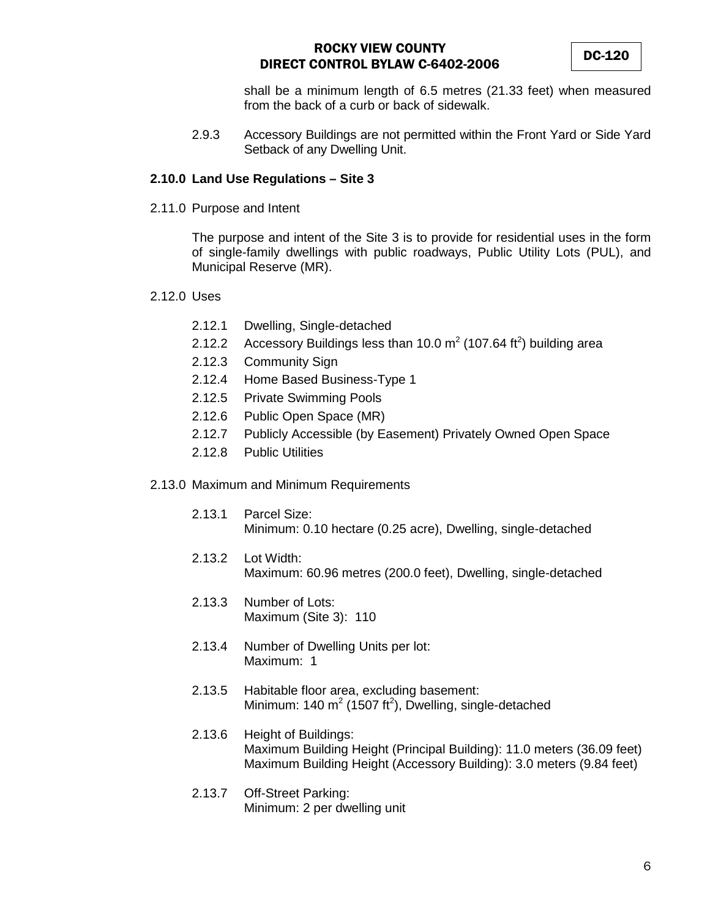shall be a minimum length of 6.5 metres (21.33 feet) when measured from the back of a curb or back of sidewalk.

2.9.3 Accessory Buildings are not permitted within the Front Yard or Side Yard Setback of any Dwelling Unit.

## **2.10.0 Land Use Regulations – Site 3**

2.11.0 Purpose and Intent

The purpose and intent of the Site 3 is to provide for residential uses in the form of single-family dwellings with public roadways, Public Utility Lots (PUL), and Municipal Reserve (MR).

- 2.12.0 Uses
	- 2.12.1 Dwelling, Single-detached
	- 2.12.2 Accessory Buildings less than 10.0 m<sup>2</sup> (107.64 ft<sup>2</sup>) building area
	- 2.12.3 Community Sign
	- 2.12.4 Home Based Business-Type 1
	- 2.12.5 Private Swimming Pools
	- 2.12.6 Public Open Space (MR)
	- 2.12.7 Publicly Accessible (by Easement) Privately Owned Open Space
	- 2.12.8 Public Utilities
- 2.13.0 Maximum and Minimum Requirements
	- 2.13.1 Parcel Size: Minimum: 0.10 hectare (0.25 acre), Dwelling, single-detached
	- 2.13.2 Lot Width: Maximum: 60.96 metres (200.0 feet), Dwelling, single-detached
	- 2.13.3 Number of Lots: Maximum (Site 3): 110
	- 2.13.4 Number of Dwelling Units per lot: Maximum: 1
	- 2.13.5 Habitable floor area, excluding basement: Minimum: 140 m<sup>2</sup> (1507 ft<sup>2</sup>), Dwelling, single-detached
	- 2.13.6 Height of Buildings: Maximum Building Height (Principal Building): 11.0 meters (36.09 feet) Maximum Building Height (Accessory Building): 3.0 meters (9.84 feet)
	- 2.13.7 Off-Street Parking: Minimum: 2 per dwelling unit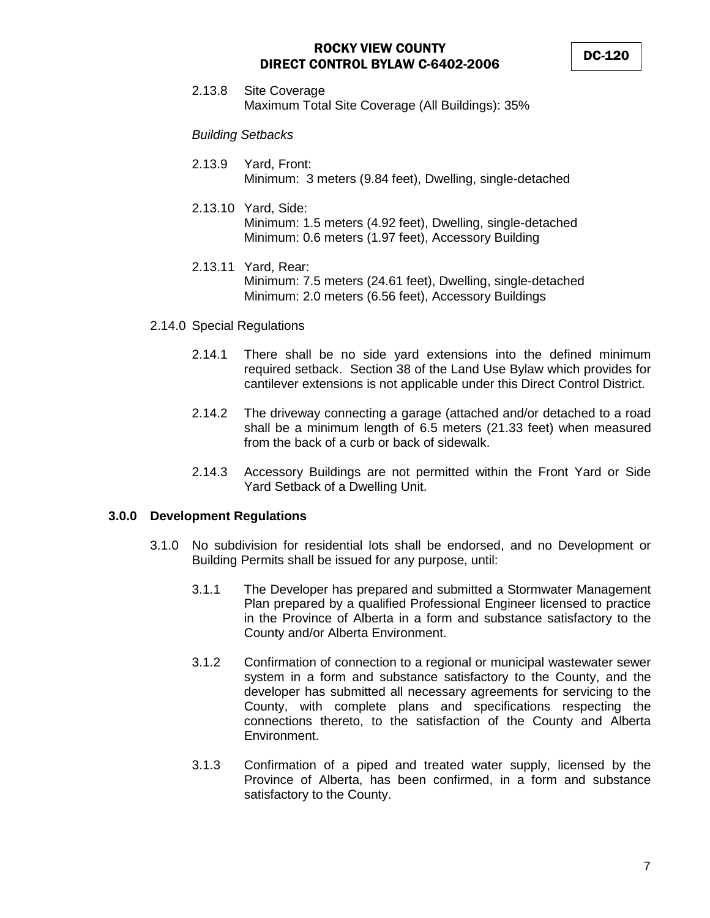2.13.8 Site Coverage Maximum Total Site Coverage (All Buildings): 35%

*Building Setbacks*

- 2.13.9 Yard, Front: Minimum: 3 meters (9.84 feet), Dwelling, single-detached
- 2.13.10 Yard, Side: Minimum: 1.5 meters (4.92 feet), Dwelling, single-detached Minimum: 0.6 meters (1.97 feet), Accessory Building
- 2.13.11 Yard, Rear: Minimum: 7.5 meters (24.61 feet), Dwelling, single-detached Minimum: 2.0 meters (6.56 feet), Accessory Buildings
- 2.14.0 Special Regulations
	- 2.14.1 There shall be no side yard extensions into the defined minimum required setback. Section 38 of the Land Use Bylaw which provides for cantilever extensions is not applicable under this Direct Control District.
	- 2.14.2 The driveway connecting a garage (attached and/or detached to a road shall be a minimum length of 6.5 meters (21.33 feet) when measured from the back of a curb or back of sidewalk.
	- 2.14.3 Accessory Buildings are not permitted within the Front Yard or Side Yard Setback of a Dwelling Unit.

#### **3.0.0 Development Regulations**

- 3.1.0 No subdivision for residential lots shall be endorsed, and no Development or Building Permits shall be issued for any purpose, until:
	- 3.1.1 The Developer has prepared and submitted a Stormwater Management Plan prepared by a qualified Professional Engineer licensed to practice in the Province of Alberta in a form and substance satisfactory to the County and/or Alberta Environment.
	- 3.1.2 Confirmation of connection to a regional or municipal wastewater sewer system in a form and substance satisfactory to the County, and the developer has submitted all necessary agreements for servicing to the County, with complete plans and specifications respecting the connections thereto, to the satisfaction of the County and Alberta Environment.
	- 3.1.3 Confirmation of a piped and treated water supply, licensed by the Province of Alberta, has been confirmed, in a form and substance satisfactory to the County.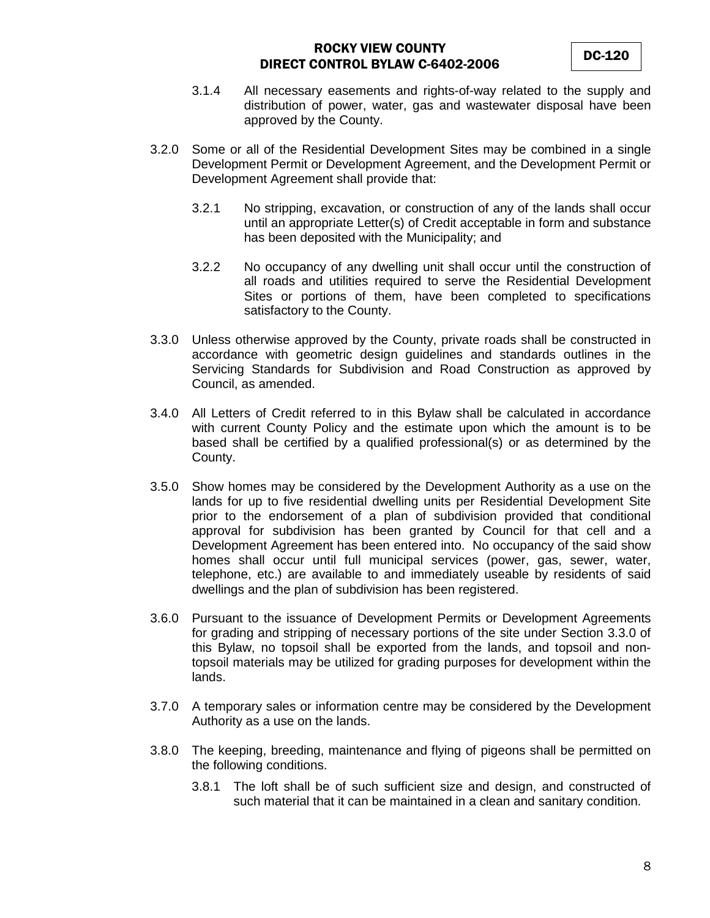- 3.1.4 All necessary easements and rights-of-way related to the supply and distribution of power, water, gas and wastewater disposal have been approved by the County.
- 3.2.0 Some or all of the Residential Development Sites may be combined in a single Development Permit or Development Agreement, and the Development Permit or Development Agreement shall provide that:
	- 3.2.1 No stripping, excavation, or construction of any of the lands shall occur until an appropriate Letter(s) of Credit acceptable in form and substance has been deposited with the Municipality; and
	- 3.2.2 No occupancy of any dwelling unit shall occur until the construction of all roads and utilities required to serve the Residential Development Sites or portions of them, have been completed to specifications satisfactory to the County.
- 3.3.0 Unless otherwise approved by the County, private roads shall be constructed in accordance with geometric design guidelines and standards outlines in the Servicing Standards for Subdivision and Road Construction as approved by Council, as amended.
- 3.4.0 All Letters of Credit referred to in this Bylaw shall be calculated in accordance with current County Policy and the estimate upon which the amount is to be based shall be certified by a qualified professional(s) or as determined by the County.
- 3.5.0 Show homes may be considered by the Development Authority as a use on the lands for up to five residential dwelling units per Residential Development Site prior to the endorsement of a plan of subdivision provided that conditional approval for subdivision has been granted by Council for that cell and a Development Agreement has been entered into. No occupancy of the said show homes shall occur until full municipal services (power, gas, sewer, water, telephone, etc.) are available to and immediately useable by residents of said dwellings and the plan of subdivision has been registered.
- 3.6.0 Pursuant to the issuance of Development Permits or Development Agreements for grading and stripping of necessary portions of the site under Section 3.3.0 of this Bylaw, no topsoil shall be exported from the lands, and topsoil and nontopsoil materials may be utilized for grading purposes for development within the lands.
- 3.7.0 A temporary sales or information centre may be considered by the Development Authority as a use on the lands.
- 3.8.0 The keeping, breeding, maintenance and flying of pigeons shall be permitted on the following conditions.
	- 3.8.1 The loft shall be of such sufficient size and design, and constructed of such material that it can be maintained in a clean and sanitary condition.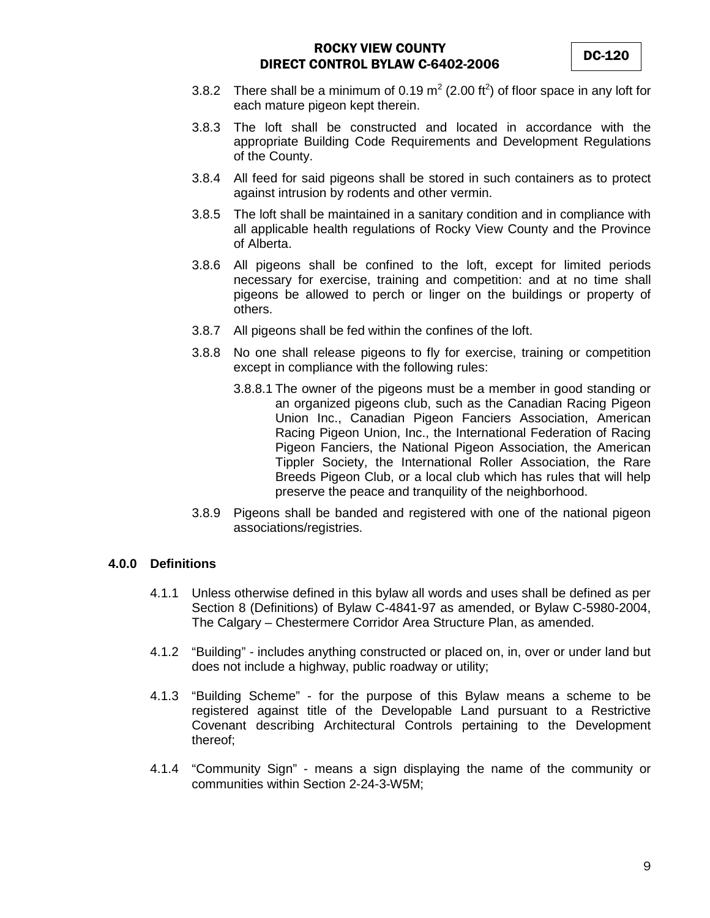- 3.8.2 There shall be a minimum of 0.19 m<sup>2</sup> (2.00 ft<sup>2</sup>) of floor space in any loft for each mature pigeon kept therein.
- 3.8.3 The loft shall be constructed and located in accordance with the appropriate Building Code Requirements and Development Regulations of the County.
- 3.8.4 All feed for said pigeons shall be stored in such containers as to protect against intrusion by rodents and other vermin.
- 3.8.5 The loft shall be maintained in a sanitary condition and in compliance with all applicable health regulations of Rocky View County and the Province of Alberta.
- 3.8.6 All pigeons shall be confined to the loft, except for limited periods necessary for exercise, training and competition: and at no time shall pigeons be allowed to perch or linger on the buildings or property of others.
- 3.8.7 All pigeons shall be fed within the confines of the loft.
- 3.8.8 No one shall release pigeons to fly for exercise, training or competition except in compliance with the following rules:
	- 3.8.8.1 The owner of the pigeons must be a member in good standing or an organized pigeons club, such as the Canadian Racing Pigeon Union Inc., Canadian Pigeon Fanciers Association, American Racing Pigeon Union, Inc., the International Federation of Racing Pigeon Fanciers, the National Pigeon Association, the American Tippler Society, the International Roller Association, the Rare Breeds Pigeon Club, or a local club which has rules that will help preserve the peace and tranquility of the neighborhood.
- 3.8.9 Pigeons shall be banded and registered with one of the national pigeon associations/registries.

## **4.0.0 Definitions**

- 4.1.1 Unless otherwise defined in this bylaw all words and uses shall be defined as per Section 8 (Definitions) of Bylaw C-4841-97 as amended, or Bylaw C-5980-2004, The Calgary – Chestermere Corridor Area Structure Plan, as amended.
- 4.1.2 "Building" includes anything constructed or placed on, in, over or under land but does not include a highway, public roadway or utility;
- 4.1.3 "Building Scheme" for the purpose of this Bylaw means a scheme to be registered against title of the Developable Land pursuant to a Restrictive Covenant describing Architectural Controls pertaining to the Development thereof;
- 4.1.4 "Community Sign" means a sign displaying the name of the community or communities within Section 2-24-3-W5M;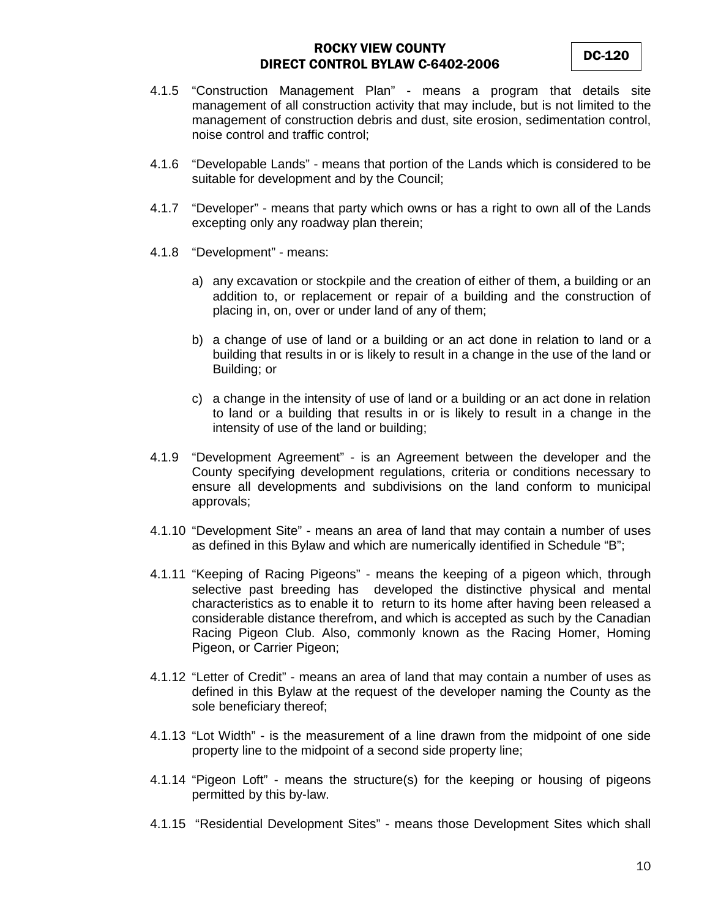- 4.1.5 "Construction Management Plan" means a program that details site management of all construction activity that may include, but is not limited to the management of construction debris and dust, site erosion, sedimentation control, noise control and traffic control;
- 4.1.6 "Developable Lands" means that portion of the Lands which is considered to be suitable for development and by the Council;
- 4.1.7 "Developer" means that party which owns or has a right to own all of the Lands excepting only any roadway plan therein;
- 4.1.8 "Development" means:
	- a) any excavation or stockpile and the creation of either of them, a building or an addition to, or replacement or repair of a building and the construction of placing in, on, over or under land of any of them;
	- b) a change of use of land or a building or an act done in relation to land or a building that results in or is likely to result in a change in the use of the land or Building; or
	- c) a change in the intensity of use of land or a building or an act done in relation to land or a building that results in or is likely to result in a change in the intensity of use of the land or building;
- 4.1.9 "Development Agreement" is an Agreement between the developer and the County specifying development regulations, criteria or conditions necessary to ensure all developments and subdivisions on the land conform to municipal approvals;
- 4.1.10 "Development Site" means an area of land that may contain a number of uses as defined in this Bylaw and which are numerically identified in Schedule "B";
- 4.1.11 "Keeping of Racing Pigeons" means the keeping of a pigeon which, through selective past breeding has developed the distinctive physical and mental characteristics as to enable it to return to its home after having been released a considerable distance therefrom, and which is accepted as such by the Canadian Racing Pigeon Club. Also, commonly known as the Racing Homer, Homing Pigeon, or Carrier Pigeon;
- 4.1.12 "Letter of Credit" means an area of land that may contain a number of uses as defined in this Bylaw at the request of the developer naming the County as the sole beneficiary thereof;
- 4.1.13 "Lot Width" is the measurement of a line drawn from the midpoint of one side property line to the midpoint of a second side property line;
- 4.1.14 "Pigeon Loft" means the structure(s) for the keeping or housing of pigeons permitted by this by-law.
- 4.1.15 "Residential Development Sites" means those Development Sites which shall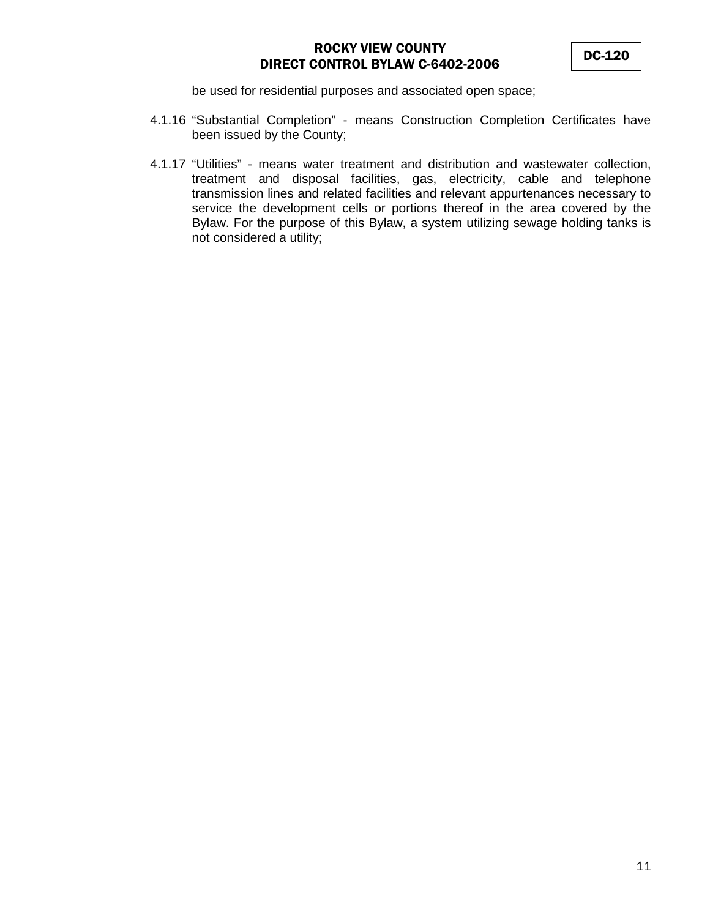be used for residential purposes and associated open space;

- 4.1.16 "Substantial Completion" means Construction Completion Certificates have been issued by the County;
- 4.1.17 "Utilities" means water treatment and distribution and wastewater collection, treatment and disposal facilities, gas, electricity, cable and telephone transmission lines and related facilities and relevant appurtenances necessary to service the development cells or portions thereof in the area covered by the Bylaw. For the purpose of this Bylaw, a system utilizing sewage holding tanks is not considered a utility;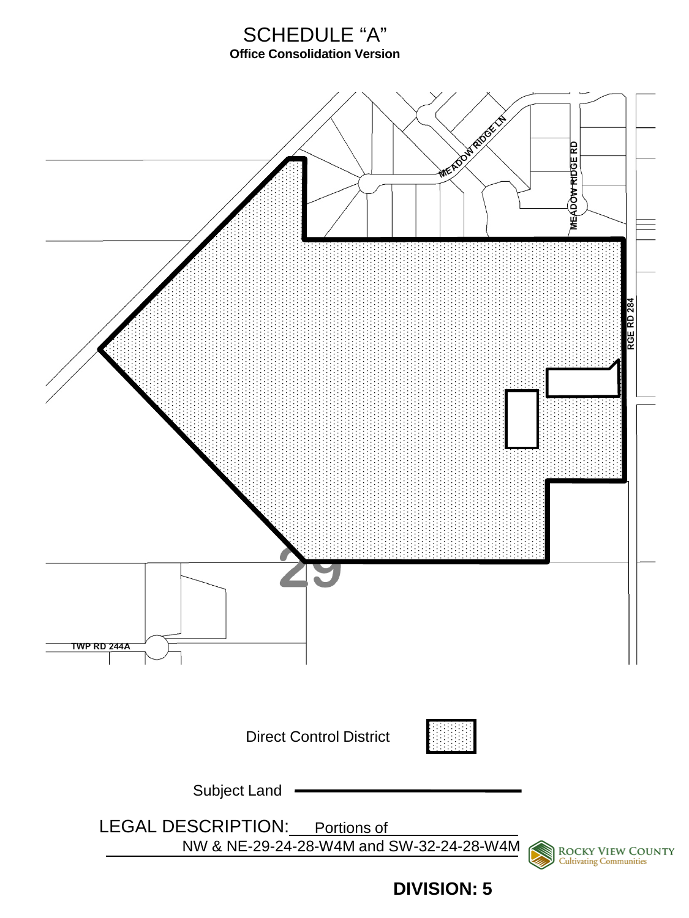# SCHEDULE "A" **Office Consolidation Version**



**DIVISION: 5**